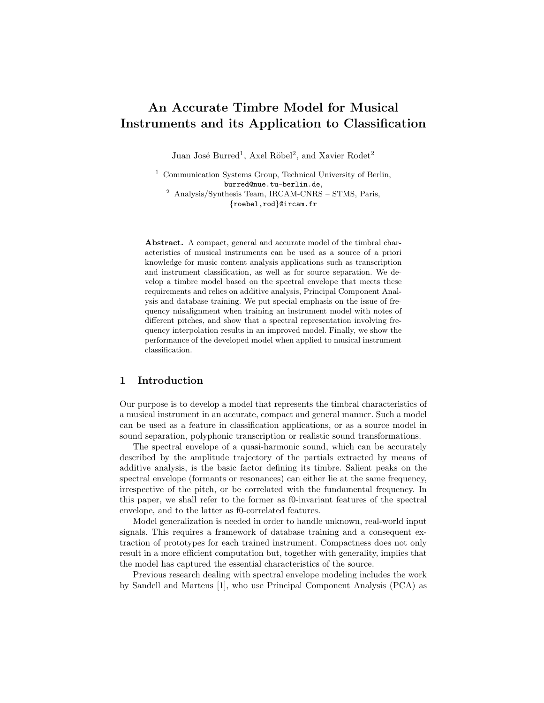# An Accurate Timbre Model for Musical Instruments and its Application to Classification

Juan José Burred<sup>1</sup>, Axel Röbel<sup>2</sup>, and Xavier Rodet<sup>2</sup>

<sup>1</sup> Communication Systems Group, Technical University of Berlin, burred@nue.tu-berlin.de, <sup>2</sup> Analysis/Synthesis Team, IRCAM-CNRS – STMS, Paris, {roebel,rod}@ircam.fr

Abstract. A compact, general and accurate model of the timbral characteristics of musical instruments can be used as a source of a priori knowledge for music content analysis applications such as transcription and instrument classification, as well as for source separation. We develop a timbre model based on the spectral envelope that meets these requirements and relies on additive analysis, Principal Component Analysis and database training. We put special emphasis on the issue of frequency misalignment when training an instrument model with notes of different pitches, and show that a spectral representation involving frequency interpolation results in an improved model. Finally, we show the performance of the developed model when applied to musical instrument classification.

# 1 Introduction

Our purpose is to develop a model that represents the timbral characteristics of a musical instrument in an accurate, compact and general manner. Such a model can be used as a feature in classification applications, or as a source model in sound separation, polyphonic transcription or realistic sound transformations.

The spectral envelope of a quasi-harmonic sound, which can be accurately described by the amplitude trajectory of the partials extracted by means of additive analysis, is the basic factor defining its timbre. Salient peaks on the spectral envelope (formants or resonances) can either lie at the same frequency, irrespective of the pitch, or be correlated with the fundamental frequency. In this paper, we shall refer to the former as f0-invariant features of the spectral envelope, and to the latter as f0-correlated features.

Model generalization is needed in order to handle unknown, real-world input signals. This requires a framework of database training and a consequent extraction of prototypes for each trained instrument. Compactness does not only result in a more efficient computation but, together with generality, implies that the model has captured the essential characteristics of the source.

Previous research dealing with spectral envelope modeling includes the work by Sandell and Martens [1], who use Principal Component Analysis (PCA) as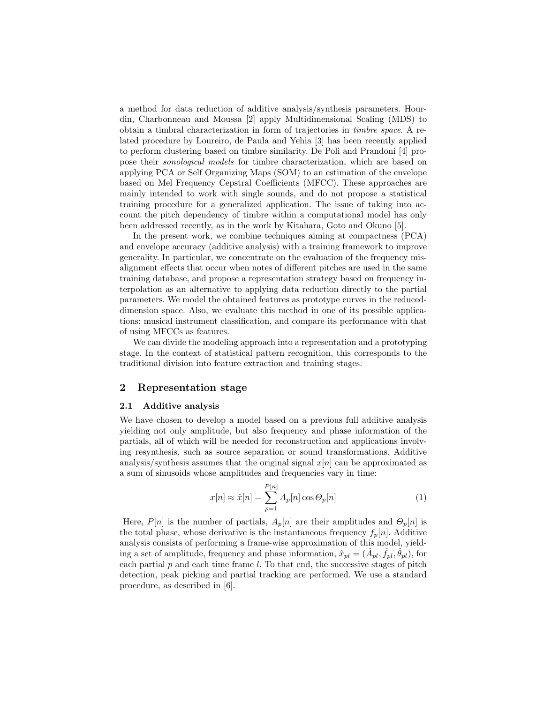a method for data reduction of additive analysis/synthesis parameters. Hourdin, Charbonneau and Moussa [2] apply Multidimensional Scaling (MDS) to obtain a timbral characterization in form of trajectories in timbre space. A related procedure by Loureiro, de Paula and Yehia [3] has been recently applied to perform clustering based on timbre similarity. De Poli and Prandoni [4] propose their sonological models for timbre characterization, which are based on applying PCA or Self Organizing Maps (SOM) to an estimation of the envelope based on Mel Frequency Cepstral Coefficients (MFCC). These approaches are mainly intended to work with single sounds, and do not propose a statistical training procedure for a generalized application. The issue of taking into account the pitch dependency of timbre within a computational model has only been addressed recently, as in the work by Kitahara, Goto and Okuno [5].

In the present work, we combine techniques aiming at compactness (PCA) and envelope accuracy (additive analysis) with a training framework to improve generality. In particular, we concentrate on the evaluation of the frequency misalignment effects that occur when notes of different pitches are used in the same training database, and propose a representation strategy based on frequency interpolation as an alternative to applying data reduction directly to the partial parameters. We model the obtained features as prototype curves in the reduceddimension space. Also, we evaluate this method in one of its possible applications: musical instrument classification, and compare its performance with that of using MFCCs as features.

We can divide the modeling approach into a representation and a prototyping stage. In the context of statistical pattern recognition, this corresponds to the traditional division into feature extraction and training stages.

## 2 Representation stage

### 2.1 Additive analysis

We have chosen to develop a model based on a previous full additive analysis yielding not only amplitude, but also frequency and phase information of the partials, all of which will be needed for reconstruction and applications involving resynthesis, such as source separation or sound transformations. Additive analysis/synthesis assumes that the original signal  $x[n]$  can be approximated as a sum of sinusoids whose amplitudes and frequencies vary in time:

$$
x[n] \approx \hat{x}[n] = \sum_{p=1}^{P[n]} A_p[n] \cos \Theta_p[n]
$$
 (1)

Here,  $P[n]$  is the number of partials,  $A_p[n]$  are their amplitudes and  $\Theta_p[n]$  is the total phase, whose derivative is the instantaneous frequency  $f_p[n]$ . Additive analysis consists of performing a frame-wise approximation of this model, yielding a set of amplitude, frequency and phase information,  $\hat{x}_{pl} = (\hat{A}_{pl}, \hat{f}_{pl}, \hat{\theta}_{pl})$ , for each partial  $p$  and each time frame  $l$ . To that end, the successive stages of pitch detection, peak picking and partial tracking are performed. We use a standard procedure, as described in [6].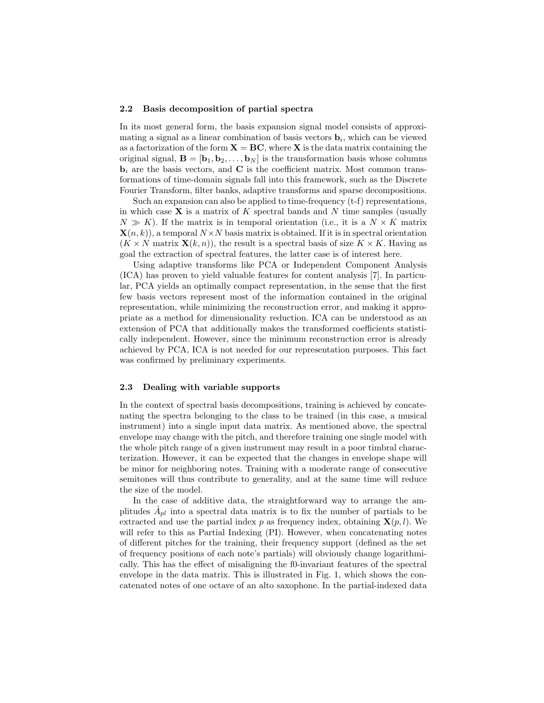### 2.2 Basis decomposition of partial spectra

In its most general form, the basis expansion signal model consists of approximating a signal as a linear combination of basis vectors  $\mathbf{b}_i$ , which can be viewed as a factorization of the form  $X = BC$ , where X is the data matrix containing the original signal,  $\mathbf{B} = [\mathbf{b}_1, \mathbf{b}_2, \dots, \mathbf{b}_N]$  is the transformation basis whose columns  $\mathbf{b}_i$  are the basis vectors, and  $\mathbf C$  is the coefficient matrix. Most common transformations of time-domain signals fall into this framework, such as the Discrete Fourier Transform, filter banks, adaptive transforms and sparse decompositions.

Such an expansion can also be applied to time-frequency (t-f) representations, in which case  $X$  is a matrix of  $K$  spectral bands and  $N$  time samples (usually  $N \gg K$ ). If the matrix is in temporal orientation (i.e., it is a  $N \times K$  matrix  $\mathbf{X}(n, k)$ , a temporal  $N \times N$  basis matrix is obtained. If it is in spectral orientation  $(K \times N \text{ matrix } \mathbf{X}(k,n))$ , the result is a spectral basis of size  $K \times K$ . Having as goal the extraction of spectral features, the latter case is of interest here.

Using adaptive transforms like PCA or Independent Component Analysis (ICA) has proven to yield valuable features for content analysis [7]. In particular, PCA yields an optimally compact representation, in the sense that the first few basis vectors represent most of the information contained in the original representation, while minimizing the reconstruction error, and making it appropriate as a method for dimensionality reduction. ICA can be understood as an extension of PCA that additionally makes the transformed coefficients statistically independent. However, since the minimum reconstruction error is already achieved by PCA, ICA is not needed for our representation purposes. This fact was confirmed by preliminary experiments.

#### 2.3 Dealing with variable supports

In the context of spectral basis decompositions, training is achieved by concatenating the spectra belonging to the class to be trained (in this case, a musical instrument) into a single input data matrix. As mentioned above, the spectral envelope may change with the pitch, and therefore training one single model with the whole pitch range of a given instrument may result in a poor timbral characterization. However, it can be expected that the changes in envelope shape will be minor for neighboring notes. Training with a moderate range of consecutive semitones will thus contribute to generality, and at the same time will reduce the size of the model.

In the case of additive data, the straightforward way to arrange the amplitudes  $\hat{A}_{pl}$  into a spectral data matrix is to fix the number of partials to be extracted and use the partial index p as frequency index, obtaining  $\mathbf{X}(p, l)$ . We will refer to this as Partial Indexing (PI). However, when concatenating notes of different pitches for the training, their frequency support (defined as the set of frequency positions of each note's partials) will obviously change logarithmically. This has the effect of misaligning the f0-invariant features of the spectral envelope in the data matrix. This is illustrated in Fig. 1, which shows the concatenated notes of one octave of an alto saxophone. In the partial-indexed data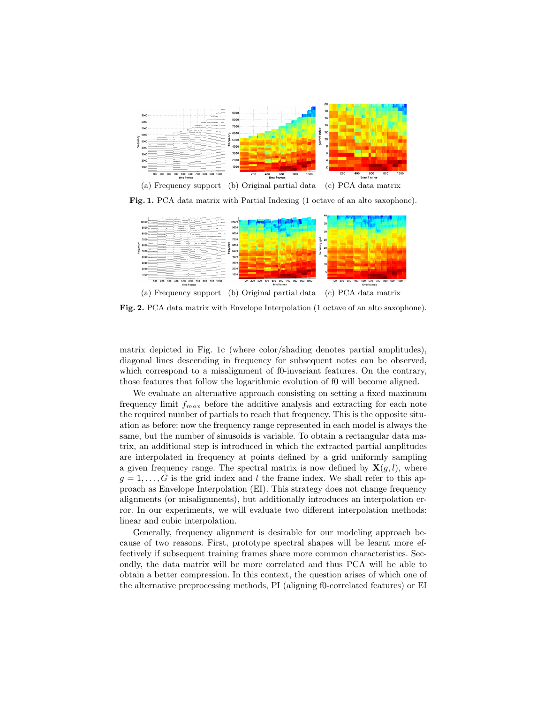

Fig. 1. PCA data matrix with Partial Indexing (1 octave of an alto saxophone).



(a) Frequency support (b) Original partial data (c) PCA data matrix

Fig. 2. PCA data matrix with Envelope Interpolation (1 octave of an alto saxophone).

matrix depicted in Fig. 1c (where color/shading denotes partial amplitudes), diagonal lines descending in frequency for subsequent notes can be observed, which correspond to a misalignment of f0-invariant features. On the contrary, those features that follow the logarithmic evolution of f0 will become aligned.

We evaluate an alternative approach consisting on setting a fixed maximum frequency limit  $f_{max}$  before the additive analysis and extracting for each note the required number of partials to reach that frequency. This is the opposite situation as before: now the frequency range represented in each model is always the same, but the number of sinusoids is variable. To obtain a rectangular data matrix, an additional step is introduced in which the extracted partial amplitudes are interpolated in frequency at points defined by a grid uniformly sampling a given frequency range. The spectral matrix is now defined by  $\mathbf{X}(g, l)$ , where  $g = 1, \ldots, G$  is the grid index and l the frame index. We shall refer to this approach as Envelope Interpolation (EI). This strategy does not change frequency alignments (or misalignments), but additionally introduces an interpolation error. In our experiments, we will evaluate two different interpolation methods: linear and cubic interpolation.

Generally, frequency alignment is desirable for our modeling approach because of two reasons. First, prototype spectral shapes will be learnt more effectively if subsequent training frames share more common characteristics. Secondly, the data matrix will be more correlated and thus PCA will be able to obtain a better compression. In this context, the question arises of which one of the alternative preprocessing methods, PI (aligning f0-correlated features) or EI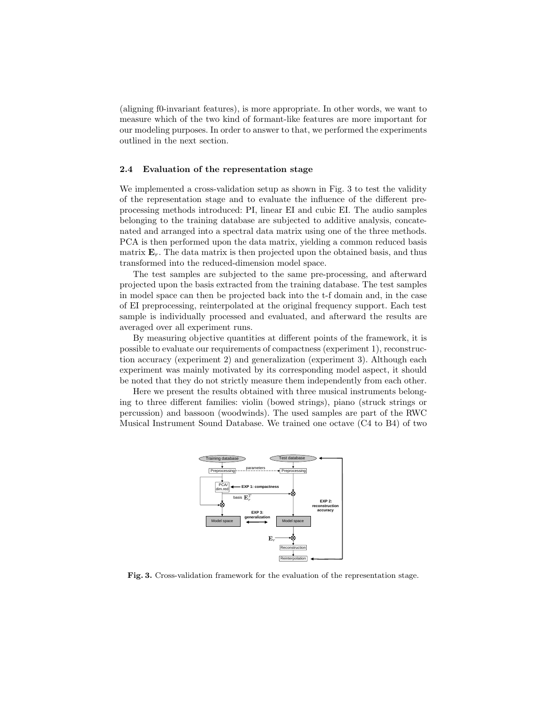(aligning f0-invariant features), is more appropriate. In other words, we want to measure which of the two kind of formant-like features are more important for our modeling purposes. In order to answer to that, we performed the experiments outlined in the next section.

## 2.4 Evaluation of the representation stage

We implemented a cross-validation setup as shown in Fig. 3 to test the validity of the representation stage and to evaluate the influence of the different preprocessing methods introduced: PI, linear EI and cubic EI. The audio samples belonging to the training database are subjected to additive analysis, concatenated and arranged into a spectral data matrix using one of the three methods. PCA is then performed upon the data matrix, yielding a common reduced basis matrix  $\mathbf{E}_r$ . The data matrix is then projected upon the obtained basis, and thus transformed into the reduced-dimension model space.

The test samples are subjected to the same pre-processing, and afterward projected upon the basis extracted from the training database. The test samples in model space can then be projected back into the t-f domain and, in the case of EI preprocessing, reinterpolated at the original frequency support. Each test sample is individually processed and evaluated, and afterward the results are averaged over all experiment runs.

By measuring objective quantities at different points of the framework, it is possible to evaluate our requirements of compactness (experiment 1), reconstruction accuracy (experiment 2) and generalization (experiment 3). Although each experiment was mainly motivated by its corresponding model aspect, it should be noted that they do not strictly measure them independently from each other.

Here we present the results obtained with three musical instruments belonging to three different families: violin (bowed strings), piano (struck strings or percussion) and bassoon (woodwinds). The used samples are part of the RWC Musical Instrument Sound Database. We trained one octave (C4 to B4) of two



Fig. 3. Cross-validation framework for the evaluation of the representation stage.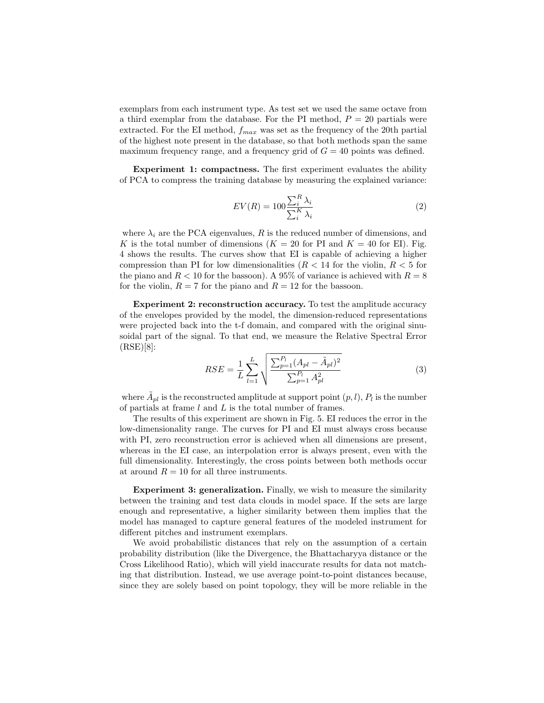exemplars from each instrument type. As test set we used the same octave from a third exemplar from the database. For the PI method,  $P = 20$  partials were extracted. For the EI method,  $f_{max}$  was set as the frequency of the 20th partial of the highest note present in the database, so that both methods span the same maximum frequency range, and a frequency grid of  $G = 40$  points was defined.

Experiment 1: compactness. The first experiment evaluates the ability of PCA to compress the training database by measuring the explained variance:

$$
EV(R) = 100 \frac{\sum_{i}^{R} \lambda_i}{\sum_{i}^{K} \lambda_i}
$$
 (2)

where  $\lambda_i$  are the PCA eigenvalues, R is the reduced number of dimensions, and K is the total number of dimensions  $(K = 20$  for PI and  $K = 40$  for EI). Fig. 4 shows the results. The curves show that EI is capable of achieving a higher compression than PI for low dimensionalities  $(R < 14$  for the violin,  $R < 5$  for the piano and  $R < 10$  for the bassoon). A 95% of variance is achieved with  $R = 8$ for the violin,  $R = 7$  for the piano and  $R = 12$  for the bassoon.

Experiment 2: reconstruction accuracy. To test the amplitude accuracy of the envelopes provided by the model, the dimension-reduced representations were projected back into the t-f domain, and compared with the original sinusoidal part of the signal. To that end, we measure the Relative Spectral Error (RSE)[8]:

$$
RSE = \frac{1}{L} \sum_{l=1}^{L} \sqrt{\frac{\sum_{p=1}^{P_l} (A_{pl} - \tilde{A}_{pl})^2}{\sum_{p=1}^{P_l} A_{pl}^2}}
$$
(3)

where  $\tilde{A}_{pl}$  is the reconstructed amplitude at support point  $(p, l)$ ,  $P_l$  is the number of partials at frame l and L is the total number of frames.

The results of this experiment are shown in Fig. 5. EI reduces the error in the low-dimensionality range. The curves for PI and EI must always cross because with PI, zero reconstruction error is achieved when all dimensions are present, whereas in the EI case, an interpolation error is always present, even with the full dimensionality. Interestingly, the cross points between both methods occur at around  $R = 10$  for all three instruments.

Experiment 3: generalization. Finally, we wish to measure the similarity between the training and test data clouds in model space. If the sets are large enough and representative, a higher similarity between them implies that the model has managed to capture general features of the modeled instrument for different pitches and instrument exemplars.

We avoid probabilistic distances that rely on the assumption of a certain probability distribution (like the Divergence, the Bhattacharyya distance or the Cross Likelihood Ratio), which will yield inaccurate results for data not matching that distribution. Instead, we use average point-to-point distances because, since they are solely based on point topology, they will be more reliable in the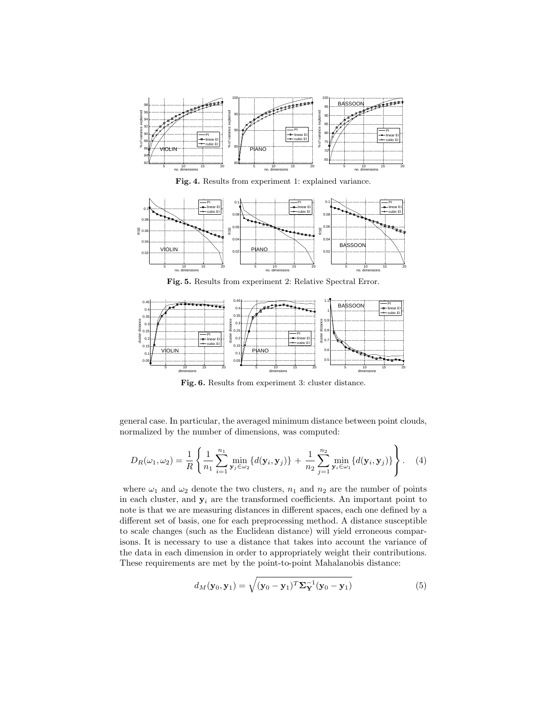

Fig. 4. Results from experiment 1: explained variance.



Fig. 5. Results from experiment 2: Relative Spectral Error.



Fig. 6. Results from experiment 3: cluster distance.

general case. In particular, the averaged minimum distance between point clouds, normalized by the number of dimensions, was computed:

$$
D_R(\omega_1, \omega_2) = \frac{1}{R} \left\{ \frac{1}{n_1} \sum_{i=1}^{n_1} \min_{\mathbf{y}_j \in \omega_2} \{ d(\mathbf{y}_i, \mathbf{y}_j) \} + \frac{1}{n_2} \sum_{j=1}^{n_2} \min_{\mathbf{y}_i \in \omega_1} \{ d(\mathbf{y}_i, \mathbf{y}_j) \} \right\}.
$$
 (4)

where  $\omega_1$  and  $\omega_2$  denote the two clusters,  $n_1$  and  $n_2$  are the number of points in each cluster, and  $y_i$  are the transformed coefficients. An important point to note is that we are measuring distances in different spaces, each one defined by a different set of basis, one for each preprocessing method. A distance susceptible to scale changes (such as the Euclidean distance) will yield erroneous comparisons. It is necessary to use a distance that takes into account the variance of the data in each dimension in order to appropriately weight their contributions. These requirements are met by the point-to-point Mahalanobis distance:

$$
d_M(\mathbf{y}_0, \mathbf{y}_1) = \sqrt{(\mathbf{y}_0 - \mathbf{y}_1)^T \mathbf{\Sigma}_\mathbf{Y}^{-1} (\mathbf{y}_0 - \mathbf{y}_1)}
$$
(5)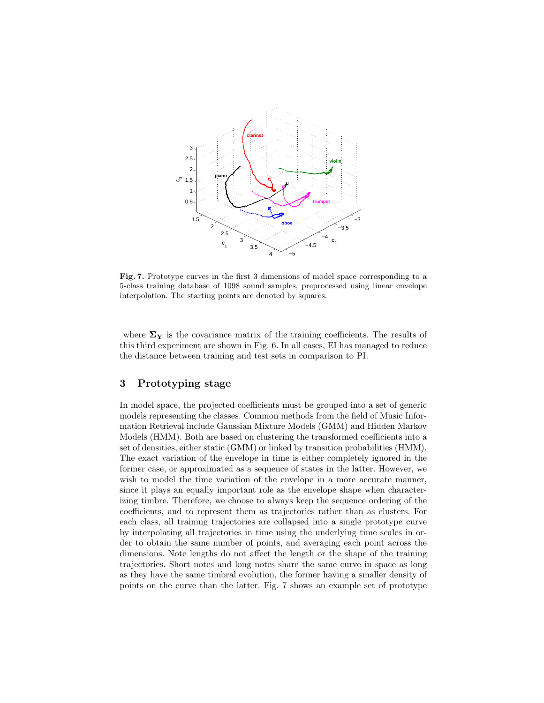

Fig. 7. Prototype curves in the first 3 dimensions of model space corresponding to a 5-class training database of 1098 sound samples, preprocessed using linear envelope interpolation. The starting points are denoted by squares.

where  $\Sigma_Y$  is the covariance matrix of the training coefficients. The results of this third experiment are shown in Fig. 6. In all cases, EI has managed to reduce the distance between training and test sets in comparison to PI.

# 3 Prototyping stage

In model space, the projected coefficients must be grouped into a set of generic models representing the classes. Common methods from the field of Music Information Retrieval include Gaussian Mixture Models (GMM) and Hidden Markov Models (HMM). Both are based on clustering the transformed coefficients into a set of densities, either static (GMM) or linked by transition probabilities (HMM). The exact variation of the envelope in time is either completely ignored in the former case, or approximated as a sequence of states in the latter. However, we wish to model the time variation of the envelope in a more accurate manner, since it plays an equally important role as the envelope shape when characterizing timbre. Therefore, we choose to always keep the sequence ordering of the coefficients, and to represent them as trajectories rather than as clusters. For each class, all training trajectories are collapsed into a single prototype curve by interpolating all trajectories in time using the underlying time scales in order to obtain the same number of points, and averaging each point across the dimensions. Note lengths do not affect the length or the shape of the training trajectories. Short notes and long notes share the same curve in space as long as they have the same timbral evolution, the former having a smaller density of points on the curve than the latter. Fig. 7 shows an example set of prototype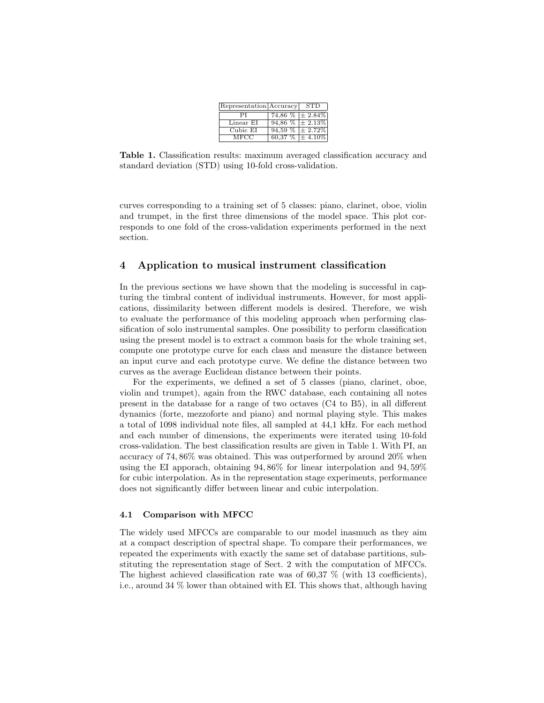| Representation Accuracy |                            | <b>STD</b> |
|-------------------------|----------------------------|------------|
|                         | 74,86 $\%$ $\pm$ 2.84 $\%$ |            |
| Linear EI               | $94,86\%$ ± 2.13%          |            |
| Cubic EI                | $94,59\%$ ± 2.72%          |            |
| MFCC                    | $60,37\%$ $\pm 4.10\%$     |            |

Table 1. Classification results: maximum averaged classification accuracy and standard deviation (STD) using 10-fold cross-validation.

curves corresponding to a training set of 5 classes: piano, clarinet, oboe, violin and trumpet, in the first three dimensions of the model space. This plot corresponds to one fold of the cross-validation experiments performed in the next section.

## 4 Application to musical instrument classification

In the previous sections we have shown that the modeling is successful in capturing the timbral content of individual instruments. However, for most applications, dissimilarity between different models is desired. Therefore, we wish to evaluate the performance of this modeling approach when performing classification of solo instrumental samples. One possibility to perform classification using the present model is to extract a common basis for the whole training set, compute one prototype curve for each class and measure the distance between an input curve and each prototype curve. We define the distance between two curves as the average Euclidean distance between their points.

For the experiments, we defined a set of 5 classes (piano, clarinet, oboe, violin and trumpet), again from the RWC database, each containing all notes present in the database for a range of two octaves (C4 to B5), in all different dynamics (forte, mezzoforte and piano) and normal playing style. This makes a total of 1098 individual note files, all sampled at 44,1 kHz. For each method and each number of dimensions, the experiments were iterated using 10-fold cross-validation. The best classification results are given in Table 1. With PI, an accuracy of 74, 86% was obtained. This was outperformed by around 20% when using the EI apporach, obtaining 94, 86% for linear interpolation and 94, 59% for cubic interpolation. As in the representation stage experiments, performance does not significantly differ between linear and cubic interpolation.

#### 4.1 Comparison with MFCC

The widely used MFCCs are comparable to our model inasmuch as they aim at a compact description of spectral shape. To compare their performances, we repeated the experiments with exactly the same set of database partitions, substituting the representation stage of Sect. 2 with the computation of MFCCs. The highest achieved classification rate was of 60,37 % (with 13 coefficients), i.e., around 34 % lower than obtained with EI. This shows that, although having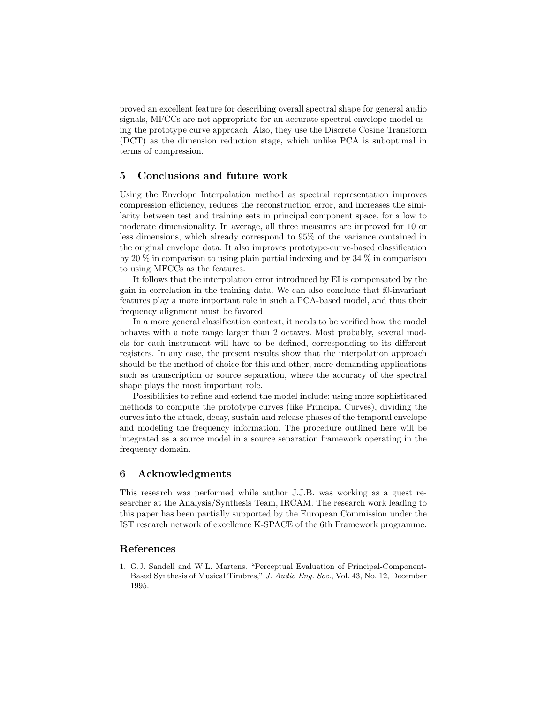proved an excellent feature for describing overall spectral shape for general audio signals, MFCCs are not appropriate for an accurate spectral envelope model using the prototype curve approach. Also, they use the Discrete Cosine Transform (DCT) as the dimension reduction stage, which unlike PCA is suboptimal in terms of compression.

## 5 Conclusions and future work

Using the Envelope Interpolation method as spectral representation improves compression efficiency, reduces the reconstruction error, and increases the similarity between test and training sets in principal component space, for a low to moderate dimensionality. In average, all three measures are improved for 10 or less dimensions, which already correspond to 95% of the variance contained in the original envelope data. It also improves prototype-curve-based classification by 20 % in comparison to using plain partial indexing and by 34 % in comparison to using MFCCs as the features.

It follows that the interpolation error introduced by EI is compensated by the gain in correlation in the training data. We can also conclude that f0-invariant features play a more important role in such a PCA-based model, and thus their frequency alignment must be favored.

In a more general classification context, it needs to be verified how the model behaves with a note range larger than 2 octaves. Most probably, several models for each instrument will have to be defined, corresponding to its different registers. In any case, the present results show that the interpolation approach should be the method of choice for this and other, more demanding applications such as transcription or source separation, where the accuracy of the spectral shape plays the most important role.

Possibilities to refine and extend the model include: using more sophisticated methods to compute the prototype curves (like Principal Curves), dividing the curves into the attack, decay, sustain and release phases of the temporal envelope and modeling the frequency information. The procedure outlined here will be integrated as a source model in a source separation framework operating in the frequency domain.

## 6 Acknowledgments

This research was performed while author J.J.B. was working as a guest researcher at the Analysis/Synthesis Team, IRCAM. The research work leading to this paper has been partially supported by the European Commission under the IST research network of excellence K-SPACE of the 6th Framework programme.

# References

1. G.J. Sandell and W.L. Martens. "Perceptual Evaluation of Principal-Component-Based Synthesis of Musical Timbres," J. Audio Eng. Soc., Vol. 43, No. 12, December 1995.